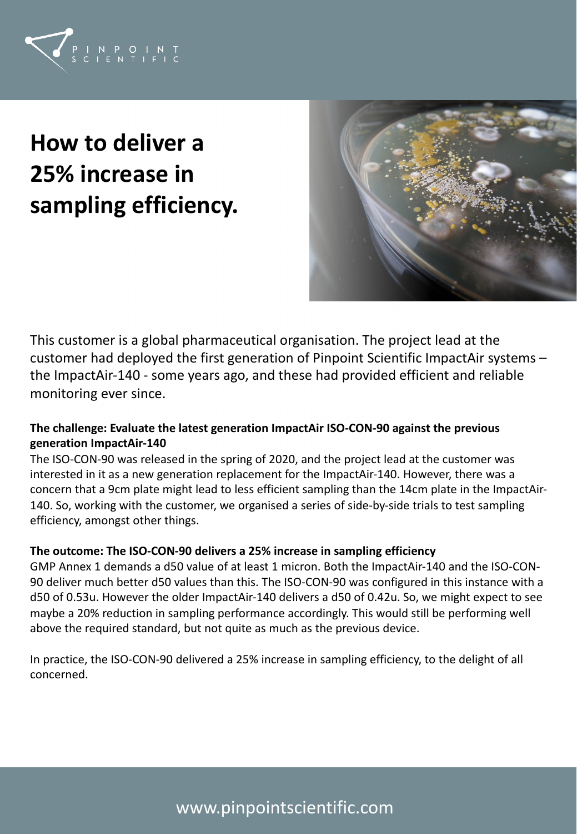

# **How to deliver a 25% increase in sampling efficiency.**



This customer is a global pharmaceutical organisation. The project lead at the customer had deployed the first generation of Pinpoint Scientific ImpactAir systems – the ImpactAir-140 - some years ago, and these had provided efficient and reliable monitoring ever since.

### **The challenge: Evaluate the latest generation ImpactAir ISO-CON-90 against the previous generation ImpactAir-140**

The ISO-CON-90 was released in the spring of 2020, and the project lead at the customer was interested in it as a new generation replacement for the ImpactAir-140. However, there was a concern that a 9cm plate might lead to less efficient sampling than the 14cm plate in the ImpactAir-140. So, working with the customer, we organised a series of side-by-side trials to test sampling efficiency, amongst other things.

#### **The outcome: The ISO-CON-90 delivers a 25% increase in sampling efficiency**

GMP Annex 1 demands a d50 value of at least 1 micron. Both the ImpactAir-140 and the ISO-CON-90 deliver much better d50 values than this. The ISO-CON-90 was configured in this instance with a d50 of 0.53u. However the older ImpactAir-140 delivers a d50 of 0.42u. So, we might expect to see maybe a 20% reduction in sampling performance accordingly. This would still be performing well above the required standard, but not quite as much as the previous device.

In practice, the ISO-CON-90 delivered a 25% increase in sampling efficiency, to the delight of all concerned.

## www.pinpointscientific.com